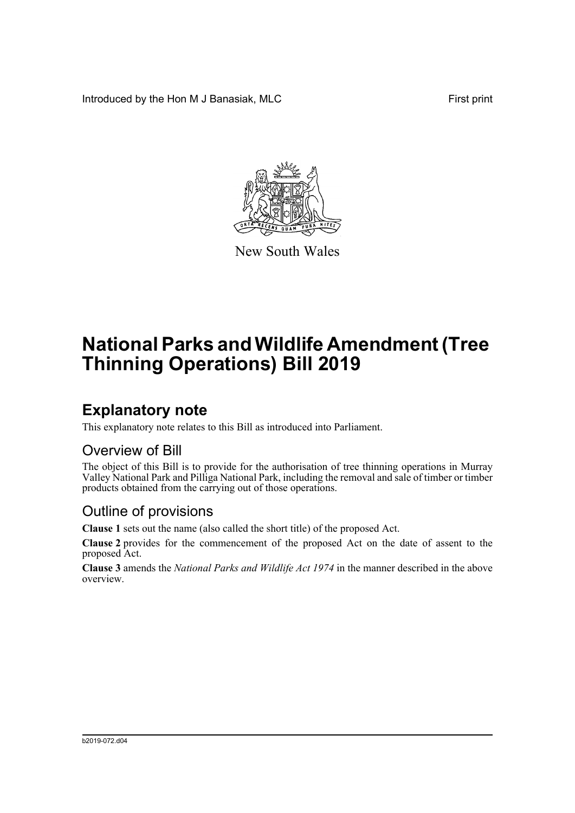Introduced by the Hon M J Banasiak, MLC First print



New South Wales

# **National Parks and Wildlife Amendment (Tree Thinning Operations) Bill 2019**

### **Explanatory note**

This explanatory note relates to this Bill as introduced into Parliament.

#### Overview of Bill

The object of this Bill is to provide for the authorisation of tree thinning operations in Murray Valley National Park and Pilliga National Park, including the removal and sale of timber or timber products obtained from the carrying out of those operations.

#### Outline of provisions

**Clause 1** sets out the name (also called the short title) of the proposed Act.

**Clause 2** provides for the commencement of the proposed Act on the date of assent to the proposed Act.

**Clause 3** amends the *National Parks and Wildlife Act 1974* in the manner described in the above overview.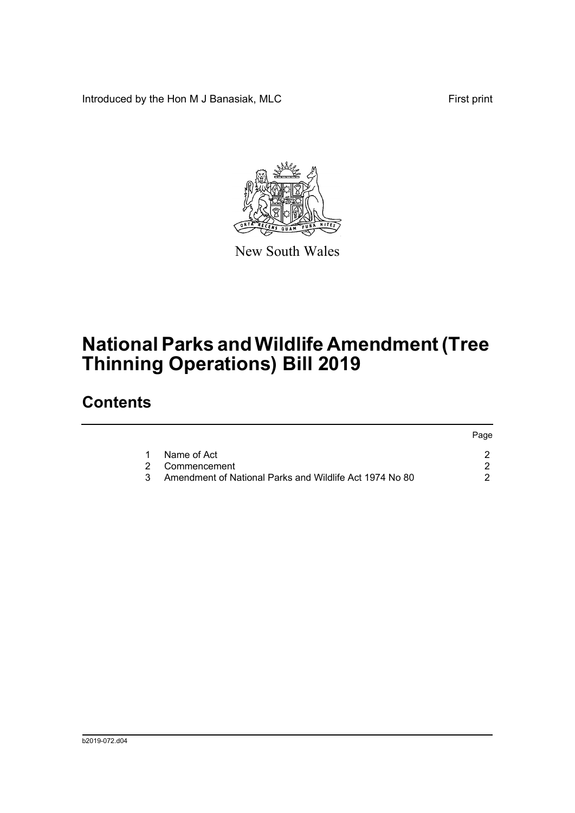Introduced by the Hon M J Banasiak, MLC First print



New South Wales

# **National Parks and Wildlife Amendment (Tree Thinning Operations) Bill 2019**

## **Contents**

|                                                           | Page |
|-----------------------------------------------------------|------|
| 1 Name of Act                                             |      |
| 2 Commencement                                            |      |
| 3 Amendment of National Parks and Wildlife Act 1974 No 80 |      |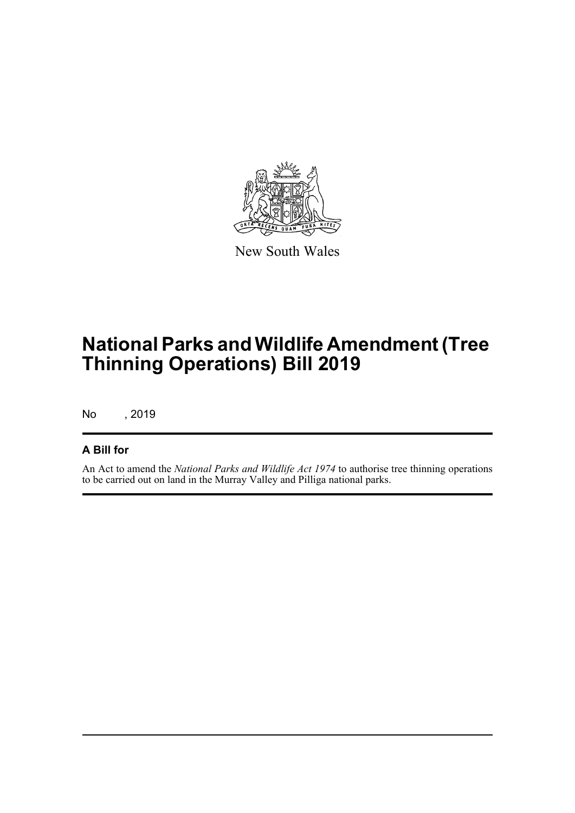

New South Wales

# **National Parks and Wildlife Amendment (Tree Thinning Operations) Bill 2019**

No , 2019

#### **A Bill for**

An Act to amend the *National Parks and Wildlife Act 1974* to authorise tree thinning operations to be carried out on land in the Murray Valley and Pilliga national parks.